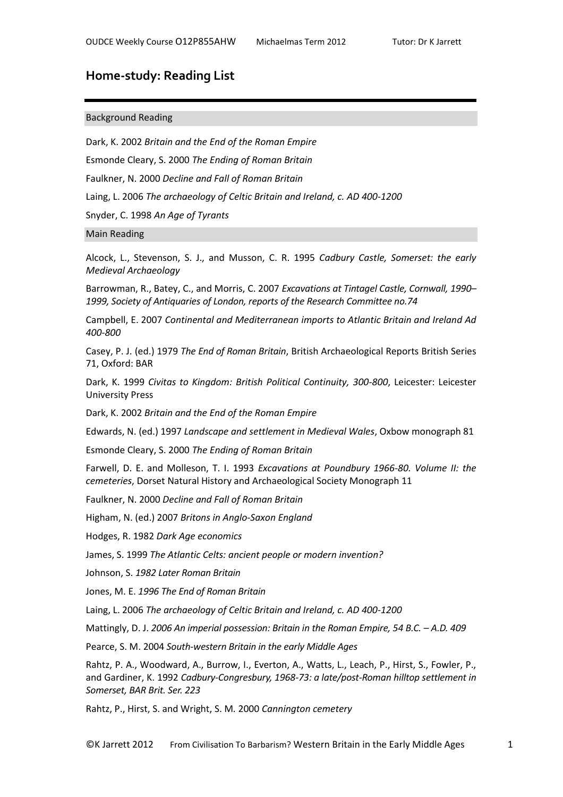## **Home-study: Reading List**

## Background Reading

Dark, K. 2002 *Britain and the End of the Roman Empire* Esmonde Cleary, S. 2000 *The Ending of Roman Britain* Faulkner, N. 2000 *Decline and Fall of Roman Britain* Laing, L. 2006 *The archaeology of Celtic Britain and Ireland, c. AD 400-1200* Snyder, C. 1998 *An Age of Tyrants*

## Main Reading

Alcock, L., Stevenson, S. J., and Musson, C. R. 1995 *Cadbury Castle, Somerset: the early Medieval Archaeology*

Barrowman, R., Batey, C., and Morris, C. 2007 *Excavations at Tintagel Castle, Cornwall, 1990– 1999, Society of Antiquaries of London, reports of the Research Committee no.74* 

Campbell, E. 2007 *Continental and Mediterranean imports to Atlantic Britain and Ireland Ad 400-800*

Casey, P. J. (ed.) 1979 *The End of Roman Britain*, British Archaeological Reports British Series 71, Oxford: BAR

Dark, K. 1999 *Civitas to Kingdom: British Political Continuity, 300-800*, Leicester: Leicester University Press

Dark, K. 2002 *Britain and the End of the Roman Empire*

Edwards, N. (ed.) 1997 *Landscape and settlement in Medieval Wales*, Oxbow monograph 81

Esmonde Cleary, S. 2000 *The Ending of Roman Britain*

Farwell, D. E. and Molleson, T. I. 1993 *Excavations at Poundbury 1966-80. Volume II: the cemeteries*, Dorset Natural History and Archaeological Society Monograph 11

Faulkner, N. 2000 *Decline and Fall of Roman Britain*

Higham, N. (ed.) 2007 *Britons in Anglo-Saxon England*

Hodges, R. 1982 *Dark Age economics*

James, S. 1999 *The Atlantic Celts: ancient people or modern invention?*

Johnson, S. *1982 Later Roman Britain*

Jones, M. E. *1996 The End of Roman Britain*

Laing, L. 2006 *The archaeology of Celtic Britain and Ireland, c. AD 400-1200*

Mattingly, D. J. 2006 An imperial possession: Britain in the Roman Empire, 54 B.C. - A.D. 409

Pearce, S. M. 2004 *South-western Britain in the early Middle Ages*

Rahtz, P. A., Woodward, A., Burrow, I., Everton, A., Watts, L., Leach, P., Hirst, S., Fowler, P., and Gardiner, K. 1992 *Cadbury-Congresbury, 1968-73: a late/post-Roman hilltop settlement in Somerset, BAR Brit. Ser. 223*

Rahtz, P., Hirst, S. and Wright, S. M*.* 2000 *Cannington cemetery*